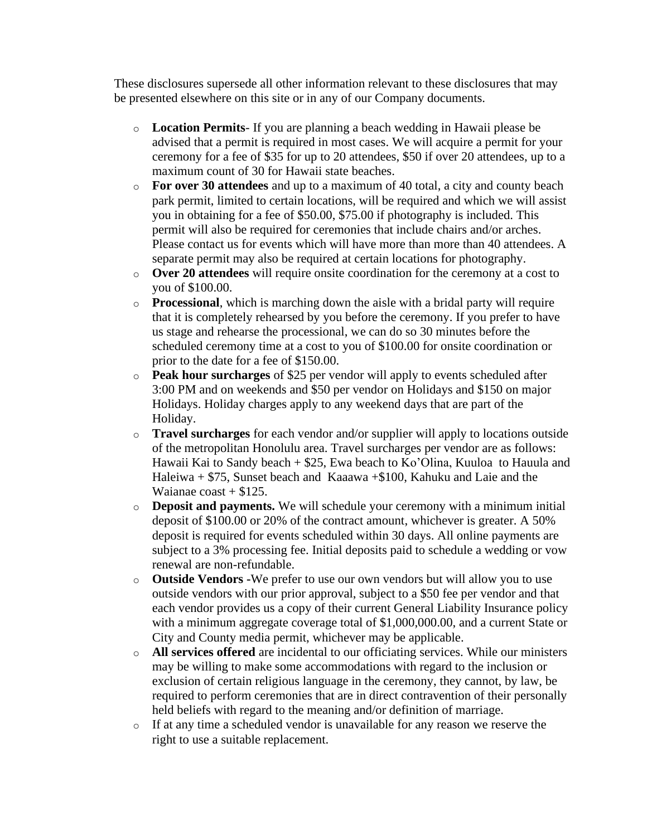These disclosures supersede all other information relevant to these disclosures that may be presented elsewhere on this site or in any of our Company documents.

- o **Location Permits** If you are planning a beach wedding in Hawaii please be advised that a permit is required in most cases. We will acquire a permit for your ceremony for a fee of \$35 for up to 20 attendees, \$50 if over 20 attendees, up to a maximum count of 30 for Hawaii state beaches.
- o **For over 30 attendees** and up to a maximum of 40 total, a city and county beach park permit, limited to certain locations, will be required and which we will assist you in obtaining for a fee of \$50.00, \$75.00 if photography is included. This permit will also be required for ceremonies that include chairs and/or arches. Please contact us for events which will have more than more than 40 attendees. A separate permit may also be required at certain locations for photography.
- o **Over 20 attendees** will require onsite coordination for the ceremony at a cost to you of \$100.00.
- o **Processional**, which is marching down the aisle with a bridal party will require that it is completely rehearsed by you before the ceremony. If you prefer to have us stage and rehearse the processional, we can do so 30 minutes before the scheduled ceremony time at a cost to you of \$100.00 for onsite coordination or prior to the date for a fee of \$150.00.
- o **Peak hour surcharges** of \$25 per vendor will apply to events scheduled after 3:00 PM and on weekends and \$50 per vendor on Holidays and \$150 on major Holidays. Holiday charges apply to any weekend days that are part of the Holiday.
- o **Travel surcharges** for each vendor and/or supplier will apply to locations outside of the metropolitan Honolulu area. Travel surcharges per vendor are as follows: Hawaii Kai to Sandy beach + \$25, Ewa beach to Ko'Olina, Kuuloa to Hauula and Haleiwa + \$75, Sunset beach and Kaaawa +\$100, Kahuku and Laie and the Waianae  $\cos t + \$125$ .
- o **Deposit and payments.** We will schedule your ceremony with a minimum initial deposit of \$100.00 or 20% of the contract amount, whichever is greater. A 50% deposit is required for events scheduled within 30 days. All online payments are subject to a 3% processing fee. Initial deposits paid to schedule a wedding or vow renewal are non-refundable.
- o **Outside Vendors -**We prefer to use our own vendors but will allow you to use outside vendors with our prior approval, subject to a \$50 fee per vendor and that each vendor provides us a copy of their current General Liability Insurance policy with a minimum aggregate coverage total of \$1,000,000.00, and a current State or City and County media permit, whichever may be applicable.
- o **All services offered** are incidental to our officiating services. While our ministers may be willing to make some accommodations with regard to the inclusion or exclusion of certain religious language in the ceremony, they cannot, by law, be required to perform ceremonies that are in direct contravention of their personally held beliefs with regard to the meaning and/or definition of marriage.
- o If at any time a scheduled vendor is unavailable for any reason we reserve the right to use a suitable replacement.